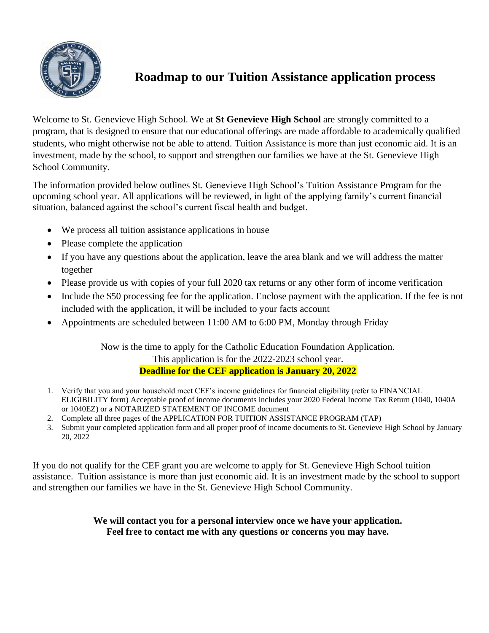

# **Roadmap to our Tuition Assistance application process**

Welcome to St. Genevieve High School. We at **St Genevieve High School** are strongly committed to a program, that is designed to ensure that our educational offerings are made affordable to academically qualified students, who might otherwise not be able to attend. Tuition Assistance is more than just economic aid. It is an investment, made by the school, to support and strengthen our families we have at the St. Genevieve High School Community.

The information provided below outlines St. Genevieve High School's Tuition Assistance Program for the upcoming school year. All applications will be reviewed, in light of the applying family's current financial situation, balanced against the school's current fiscal health and budget.

- We process all tuition assistance applications in house
- Please complete the application
- If you have any questions about the application, leave the area blank and we will address the matter together
- Please provide us with copies of your full 2020 tax returns or any other form of income verification
- Include the \$50 processing fee for the application. Enclose payment with the application. If the fee is not included with the application, it will be included to your facts account
- Appointments are scheduled between 11:00 AM to 6:00 PM, Monday through Friday

Now is the time to apply for the Catholic Education Foundation Application. This application is for the 2022-2023 school year. **Deadline for the CEF application is January 20, 2022**

- 1. Verify that you and your household meet CEF's income guidelines for financial eligibility (refer to FINANCIAL ELIGIBILITY form) Acceptable proof of income documents includes your 2020 Federal Income Tax Return (1040, 1040A or 1040EZ) or a NOTARIZED STATEMENT OF INCOME document
- 2. Complete all three pages of the APPLICATION FOR TUITION ASSISTANCE PROGRAM (TAP)
- 3. Submit your completed application form and all proper proof of income documents to St. Genevieve High School by January 20, 2022

If you do not qualify for the CEF grant you are welcome to apply for St. Genevieve High School tuition assistance. Tuition assistance is more than just economic aid. It is an investment made by the school to support and strengthen our families we have in the St. Genevieve High School Community.

# **We will contact you for a personal interview once we have your application. Feel free to contact me with any questions or concerns you may have.**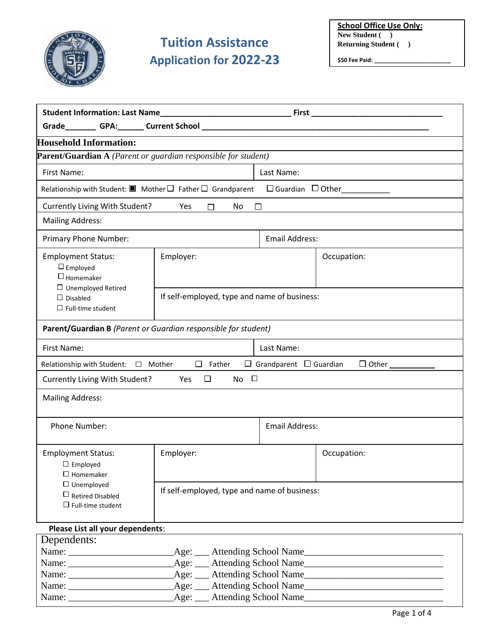

# **Tuition Assistance Application for 2022-23**

**School Office Use Only: New Student ( ) Returning Student ( )**

**\$50 Fee Paid: \_\_\_\_\_\_\_\_\_\_\_\_\_\_\_\_\_\_\_\_\_\_\_\_**

| First_                                                                                                                  |                                 |                                                   |  |  |
|-------------------------------------------------------------------------------------------------------------------------|---------------------------------|---------------------------------------------------|--|--|
|                                                                                                                         |                                 |                                                   |  |  |
|                                                                                                                         |                                 |                                                   |  |  |
| <b>Parent/Guardian A</b> (Parent or guardian responsible for student)                                                   |                                 |                                                   |  |  |
| First Name:                                                                                                             |                                 | Last Name:                                        |  |  |
| Relationship with Student: $\blacksquare$ Mother $\square$ Father $\square$ Grandparent<br>$\Box$ Guardian $\Box$ Other |                                 |                                                   |  |  |
| Currently Living With Student?                                                                                          |                                 |                                                   |  |  |
| <b>Mailing Address:</b>                                                                                                 |                                 |                                                   |  |  |
|                                                                                                                         | <b>Email Address:</b>           |                                                   |  |  |
| Employer:                                                                                                               |                                 | Occupation:                                       |  |  |
| If self-employed, type and name of business:                                                                            |                                 |                                                   |  |  |
| Parent/Guardian B (Parent or Guardian responsible for student)                                                          |                                 |                                                   |  |  |
| First Name:<br>Last Name:                                                                                               |                                 |                                                   |  |  |
| $\Box$ Father<br>$\Box$ Grandparent $\Box$ Guardian<br>$\Box$ Other<br>Relationship with Student: □ Mother              |                                 |                                                   |  |  |
| $\Box$<br>Currently Living With Student?<br>$No$ $\Box$<br><b>Press</b>                                                 |                                 |                                                   |  |  |
| <b>Mailing Address:</b>                                                                                                 |                                 |                                                   |  |  |
|                                                                                                                         | <b>Email Address:</b>           |                                                   |  |  |
| Employer:                                                                                                               |                                 | Occupation:                                       |  |  |
|                                                                                                                         |                                 |                                                   |  |  |
| Please List all your dependents:                                                                                        |                                 |                                                   |  |  |
| Age:                                                                                                                    |                                 | Attending School Name                             |  |  |
|                                                                                                                         | Yes<br>No<br>П<br>$\angle$ Age: | □<br>If self-employed, type and name of business: |  |  |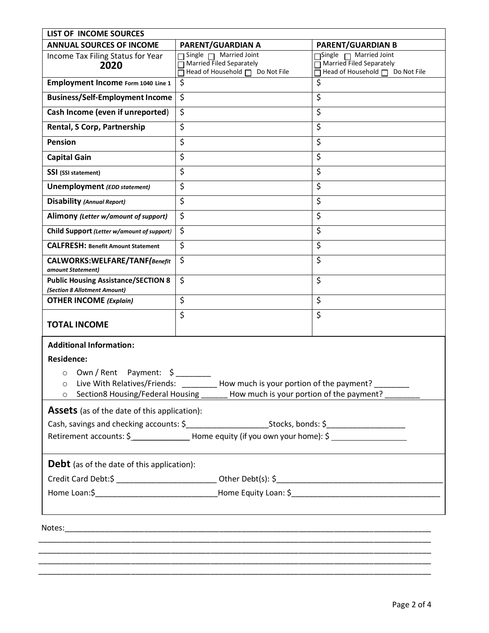| LIST OF INCOME SOURCES                                                                                |                                                                                              |                                                  |  |  |
|-------------------------------------------------------------------------------------------------------|----------------------------------------------------------------------------------------------|--------------------------------------------------|--|--|
| <b>ANNUAL SOURCES OF INCOME</b>                                                                       | PARENT/GUARDIAN A                                                                            | <b>PARENT/GUARDIAN B</b>                         |  |  |
| Income Tax Filing Status for Year                                                                     | Single $\Box$ Married Joint<br>Married Filed Separately                                      | Single narried Joint<br>Married Filed Separately |  |  |
| 2020                                                                                                  | Head of Household □ Do Not File                                                              | Head of Household □ Do Not File                  |  |  |
| Employment Income Form 1040 Line 1                                                                    | \$                                                                                           | \$                                               |  |  |
| <b>Business/Self-Employment Income</b>                                                                | $\zeta$                                                                                      | \$                                               |  |  |
| Cash Income (even if unreported)                                                                      | \$                                                                                           | \$                                               |  |  |
| Rental, S Corp, Partnership                                                                           | \$                                                                                           | \$                                               |  |  |
| <b>Pension</b>                                                                                        | \$                                                                                           | \$                                               |  |  |
| <b>Capital Gain</b>                                                                                   | \$                                                                                           | \$                                               |  |  |
| SSI (SSI statement)                                                                                   | \$                                                                                           | \$                                               |  |  |
| Unemployment (EDD statement)                                                                          | \$                                                                                           | \$                                               |  |  |
| <b>Disability (Annual Report)</b>                                                                     | \$                                                                                           | \$                                               |  |  |
| Alimony (Letter w/amount of support)                                                                  | \$                                                                                           | \$                                               |  |  |
| Child Support (Letter w/amount of support)                                                            | \$                                                                                           | \$                                               |  |  |
| <b>CALFRESH: Benefit Amount Statement</b>                                                             | \$                                                                                           | \$                                               |  |  |
| CALWORKS: WELFARE/TANF (Benefit<br>amount Statement)                                                  | \$                                                                                           | \$                                               |  |  |
| <b>Public Housing Assistance/SECTION 8</b><br>(Section 8 Allotment Amount)                            | \$                                                                                           | \$                                               |  |  |
| <b>OTHER INCOME</b> (Explain)                                                                         | \$                                                                                           | \$                                               |  |  |
| <b>TOTAL INCOME</b>                                                                                   | \$                                                                                           | \$                                               |  |  |
| <b>Additional Information:</b>                                                                        |                                                                                              |                                                  |  |  |
| <b>Residence:</b>                                                                                     |                                                                                              |                                                  |  |  |
| Own / Rent Payment: \$<br>$\circ$                                                                     |                                                                                              |                                                  |  |  |
| How much is your portion of the payment?<br>Live With Relatives/Friends:<br>O                         |                                                                                              |                                                  |  |  |
|                                                                                                       | ○ Section8 Housing/Federal Housing _______ How much is your portion of the payment? ________ |                                                  |  |  |
| <b>Assets</b> (as of the date of this application):                                                   |                                                                                              |                                                  |  |  |
|                                                                                                       |                                                                                              |                                                  |  |  |
| Retirement accounts: \$ __________________Home equity (if you own your home): \$ ____________________ |                                                                                              |                                                  |  |  |
| <b>Debt</b> (as of the date of this application):                                                     |                                                                                              |                                                  |  |  |
|                                                                                                       |                                                                                              |                                                  |  |  |
|                                                                                                       |                                                                                              |                                                  |  |  |
| ,我们也不会有什么。""我们的人,我们也不会有什么?""我们的人,我们也不会有什么?""我们的人,我们也不会有什么?""我们的人,我们也不会有什么?""我们的人                      |                                                                                              |                                                  |  |  |
|                                                                                                       |                                                                                              |                                                  |  |  |
|                                                                                                       |                                                                                              |                                                  |  |  |
|                                                                                                       |                                                                                              |                                                  |  |  |

\_\_\_\_\_\_\_\_\_\_\_\_\_\_\_\_\_\_\_\_\_\_\_\_\_\_\_\_\_\_\_\_\_\_\_\_\_\_\_\_\_\_\_\_\_\_\_\_\_\_\_\_\_\_\_\_\_\_\_\_\_\_\_\_\_\_\_\_\_\_\_\_\_\_\_\_\_\_\_\_\_\_\_\_\_\_\_\_\_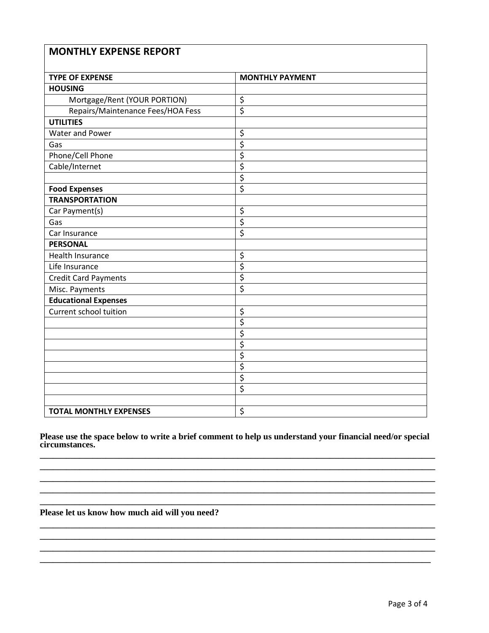| <b>MONTHLY EXPENSE REPORT</b>     |                                 |  |  |
|-----------------------------------|---------------------------------|--|--|
| <b>TYPE OF EXPENSE</b>            | <b>MONTHLY PAYMENT</b>          |  |  |
| <b>HOUSING</b>                    |                                 |  |  |
| Mortgage/Rent (YOUR PORTION)      | \$                              |  |  |
| Repairs/Maintenance Fees/HOA Fess | $\overline{\xi}$                |  |  |
| <b>UTILITIES</b>                  |                                 |  |  |
| Water and Power                   | \$                              |  |  |
| Gas                               | $\overline{\xi}$                |  |  |
| Phone/Cell Phone                  | \$                              |  |  |
| Cable/Internet                    | $\overline{\xi}$                |  |  |
|                                   | $\overline{\xi}$                |  |  |
| <b>Food Expenses</b>              | $\overline{\boldsymbol{\zeta}}$ |  |  |
| <b>TRANSPORTATION</b>             |                                 |  |  |
| Car Payment(s)                    | \$                              |  |  |
| Gas                               | \$                              |  |  |
| Car Insurance                     | $\overline{\xi}$                |  |  |
| <b>PERSONAL</b>                   |                                 |  |  |
| Health Insurance                  | \$                              |  |  |
| Life Insurance                    | $\overline{\xi}$                |  |  |
| <b>Credit Card Payments</b>       | $\overline{\xi}$                |  |  |
| Misc. Payments                    | $\overline{\boldsymbol{\zeta}}$ |  |  |
| <b>Educational Expenses</b>       |                                 |  |  |
| <b>Current school tuition</b>     | \$                              |  |  |
|                                   | \$                              |  |  |
|                                   | $\overline{\xi}$                |  |  |
|                                   | $\overline{\xi}$                |  |  |
|                                   | $\overline{\mathsf{S}}$         |  |  |
|                                   | \$                              |  |  |
|                                   | $\overline{\xi}$                |  |  |
|                                   | $\overline{\boldsymbol{\zeta}}$ |  |  |
|                                   |                                 |  |  |
| <b>TOTAL MONTHLY EXPENSES</b>     | \$                              |  |  |

**Please use the space below to write a brief comment to help us understand your financial need/or special circumstances. \_\_\_\_\_\_\_\_\_\_\_\_\_\_\_\_\_\_\_\_\_\_\_\_\_\_\_\_\_\_\_\_\_\_\_\_\_\_\_\_\_\_\_\_\_\_\_\_\_\_\_\_\_\_\_\_\_\_\_\_\_\_\_\_\_\_\_\_\_\_\_\_\_\_\_\_\_\_\_\_\_\_\_\_\_\_\_\_\_\_**

**\_\_\_\_\_\_\_\_\_\_\_\_\_\_\_\_\_\_\_\_\_\_\_\_\_\_\_\_\_\_\_\_\_\_\_\_\_\_\_\_\_\_\_\_\_\_\_\_\_\_\_\_\_\_\_\_\_\_\_\_\_\_\_\_\_\_\_\_\_\_\_\_\_\_\_\_\_\_\_\_\_\_\_\_\_\_\_\_\_\_ \_\_\_\_\_\_\_\_\_\_\_\_\_\_\_\_\_\_\_\_\_\_\_\_\_\_\_\_\_\_\_\_\_\_\_\_\_\_\_\_\_\_\_\_\_\_\_\_\_\_\_\_\_\_\_\_\_\_\_\_\_\_\_\_\_\_\_\_\_\_\_\_\_\_\_\_\_\_\_\_\_\_\_\_\_\_\_\_\_\_ \_\_\_\_\_\_\_\_\_\_\_\_\_\_\_\_\_\_\_\_\_\_\_\_\_\_\_\_\_\_\_\_\_\_\_\_\_\_\_\_\_\_\_\_\_\_\_\_\_\_\_\_\_\_\_\_\_\_\_\_\_\_\_\_\_\_\_\_\_\_\_\_\_\_\_\_\_\_\_\_\_\_\_\_\_\_\_\_\_\_ \_\_\_\_\_\_\_\_\_\_\_\_\_\_\_\_\_\_\_\_\_\_\_\_\_\_\_\_\_\_\_\_\_\_\_\_\_\_\_\_\_\_\_\_\_\_\_\_\_\_\_\_\_\_\_\_\_\_\_\_\_\_\_\_\_\_\_\_\_\_\_\_\_\_\_\_\_\_\_\_\_\_\_\_\_\_\_\_\_\_**

**\_\_\_\_\_\_\_\_\_\_\_\_\_\_\_\_\_\_\_\_\_\_\_\_\_\_\_\_\_\_\_\_\_\_\_\_\_\_\_\_\_\_\_\_\_\_\_\_\_\_\_\_\_\_\_\_\_\_\_\_\_\_\_\_\_\_\_\_\_\_\_\_\_\_\_\_\_\_\_\_\_\_\_\_\_\_\_\_\_\_ \_\_\_\_\_\_\_\_\_\_\_\_\_\_\_\_\_\_\_\_\_\_\_\_\_\_\_\_\_\_\_\_\_\_\_\_\_\_\_\_\_\_\_\_\_\_\_\_\_\_\_\_\_\_\_\_\_\_\_\_\_\_\_\_\_\_\_\_\_\_\_\_\_\_\_\_\_\_\_\_\_\_\_\_\_\_\_\_\_\_ \_\_\_\_\_\_\_\_\_\_\_\_\_\_\_\_\_\_\_\_\_\_\_\_\_\_\_\_\_\_\_\_\_\_\_\_\_\_\_\_\_\_\_\_\_\_\_\_\_\_\_\_\_\_\_\_\_\_\_\_\_\_\_\_\_\_\_\_\_\_\_\_\_\_\_\_\_\_\_\_\_\_\_\_\_\_\_\_\_\_ \_\_\_\_\_\_\_\_\_\_\_\_\_\_\_\_\_\_\_\_\_\_\_\_\_\_\_\_\_\_\_\_\_\_\_\_\_\_\_\_\_\_\_\_\_\_\_\_\_\_\_\_\_\_\_\_\_\_\_\_\_\_\_\_\_\_\_\_\_\_\_\_\_\_\_\_\_\_\_\_\_\_\_\_\_\_\_\_\_**

### **Please let us know how much aid will you need?**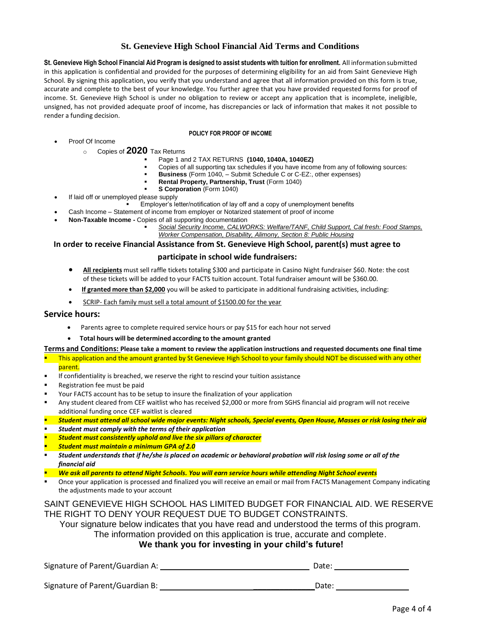### **St. Genevieve High School Financial Aid Terms and Conditions**

**St. Genevieve High School Financial Aid Program is designed to assist students with tuition for enrollment.** All information submitted in this application is confidential and provided for the purposes of determining eligibility for an aid from Saint Genevieve High School. By signing this application, you verify that you understand and agree that all information provided on this form is true, accurate and complete to the best of your knowledge. You further agree that you have provided requested forms for proof of income. St. Genevieve High School is under no obligation to review or accept any application that is incomplete, ineligible, unsigned, has not provided adequate proof of income, has discrepancies or lack of information that makes it not possible to render a funding decision.

#### **POLICY FOR PROOF OF INCOME**

- Proof Of Income
	- <sup>o</sup> Copies of **2020** Tax Returns
		- Page 1 and 2 TAX RETURNS **(1040, 1040A, 1040EZ)**
		- Copies of all supporting tax schedules if you have income from any of following sources:
		- **Business** (Form 1040, Submit Schedule C or C-EZ:, other expenses)
		- **Rental Property, Partnership, Trust (Form 1040)**
		- **S Corporation** (Form 1040)
- If laid off or unemployed please supply
	- **Employer's letter/notification of lay off and a copy of unemployment benefits**
- Cash Income Statement of income from employer or Notarized statement of proof of income
- **Non-Taxable Income -** Copies of all supporting documentation
	- Social Security Income, CALWORKS: Welfare/TANF, Child Support, Cal fresh: Food Stamps, *Worker Compensation, Disability, Alimony, Section 8: Public Housing*

#### **In order to receive Financial Assistance from St. Genevieve High School, parent(s) must agree to**

#### **participate in school wide fundraisers:**

- **All recipients** must sell raffle tickets totaling \$300 and participate in Casino Night fundraiser \$60. Note: the cost of these tickets will be added to your FACTS tuition account. Total fundraiser amount will be \$360.00.
- **If granted more than \$2,000** you will be asked to participate in additional fundraising activities, including:
- SCRIP- Each family must sell a total amount of \$1500.00 for the year

#### **Service hours:**

- Parents agree to complete required service hours or pay \$15 for each hour not served
- **Total hours will be determined according to the amount granted**

#### Terms and Conditions: Please take a moment to review the application instructions and requested documents one final time

This application and the amount granted by St Genevieve High School to your family should NOT be discussed with any other

#### parent.

- If confidentiality is breached, we reserve the right to rescind your tuition assistance
- Registration fee must be paid
- Your FACTS account has to be setup to insure the finalization of your application
- Any student cleared from CEF waitlist who has received \$2,000 or more from SGHS financial aid program will not receive additional funding once CEF waitlist is cleared
- *Student must attend all school wide major events: Night schools, Special events, Open House, Masses or risk losing their aid*
- *Student must comply with the terms of their application*
- **Student must consistently uphold and live the six pillars of character**
- *Student must maintain a minimum GPA of 2.0*
- *Student understands that if he/she is placed on academic or behavioral probation will risk losing some or all of the financial aid*
- *We ask all parents to attend Night Schools. You will earn service hours while attending Night School events*
- Once your application is processed and finalized you will receive an email or mail from FACTS Management Company indicating the adjustments made to your account

### SAINT GENEVIEVE HIGH SCHOOL HAS LIMITED BUDGET FOR FINANCIAL AID. WE RESERVE THE RIGHT TO DENY YOUR REQUEST DUE TO BUDGET CONSTRAINTS.

Your signature below indicates that you have read and understood the terms of this program.

The information provided on this application is true, accurate and complete.

#### **We thank you for investing in your child's future!**

Signature of Parent/Guardian A: Date: Date: Date: Date: Date: Date: Date: Date: Date: Date: Date: Date: Date: Date: Date: Date: Date: Date: Date: Date: Date: Date: Date: Date: Date: Date: Date: Date: Date: Date: Date: Date

Signature of Parent/Guardian B: \_\_\_\_\_\_\_\_\_\_\_\_\_\_Date: